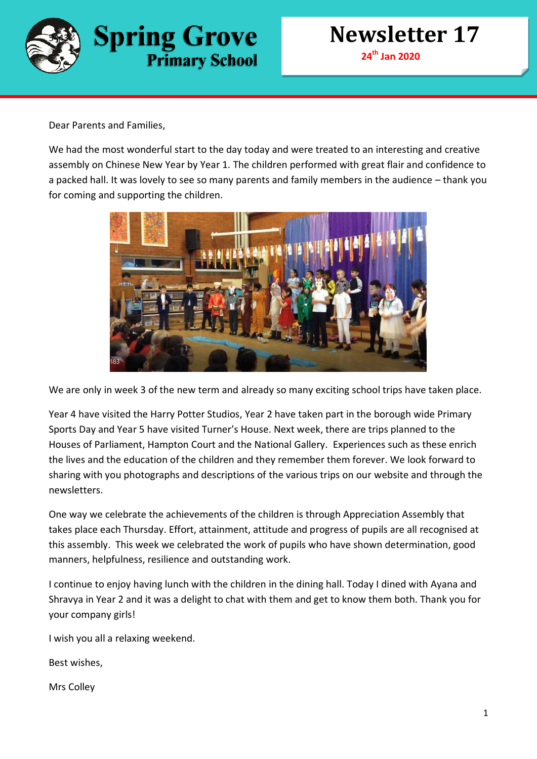

Dear Parents and Families,

We had the most wonderful start to the day today and were treated to an interesting and creative assembly on Chinese New Year by Year 1. The children performed with great flair and confidence to a packed hall. It was lovely to see so many parents and family members in the audience – thank you for coming and supporting the children.



We are only in week 3 of the new term and already so many exciting school trips have taken place.

Year 4 have visited the Harry Potter Studios, Year 2 have taken part in the borough wide Primary Sports Day and Year 5 have visited Turner's House. Next week, there are trips planned to the Houses of Parliament, Hampton Court and the National Gallery. Experiences such as these enrich the lives and the education of the children and they remember them forever. We look forward to sharing with you photographs and descriptions of the various trips on our website and through the newsletters.

One way we celebrate the achievements of the children is through Appreciation Assembly that takes place each Thursday. Effort, attainment, attitude and progress of pupils are all recognised at this assembly. This week we celebrated the work of pupils who have shown determination, good manners, helpfulness, resilience and outstanding work.

I continue to enjoy having lunch with the children in the dining hall. Today I dined with Ayana and Shravya in Year 2 and it was a delight to chat with them and get to know them both. Thank you for your company girls!

I wish you all a relaxing weekend.

Best wishes,

Mrs Colley